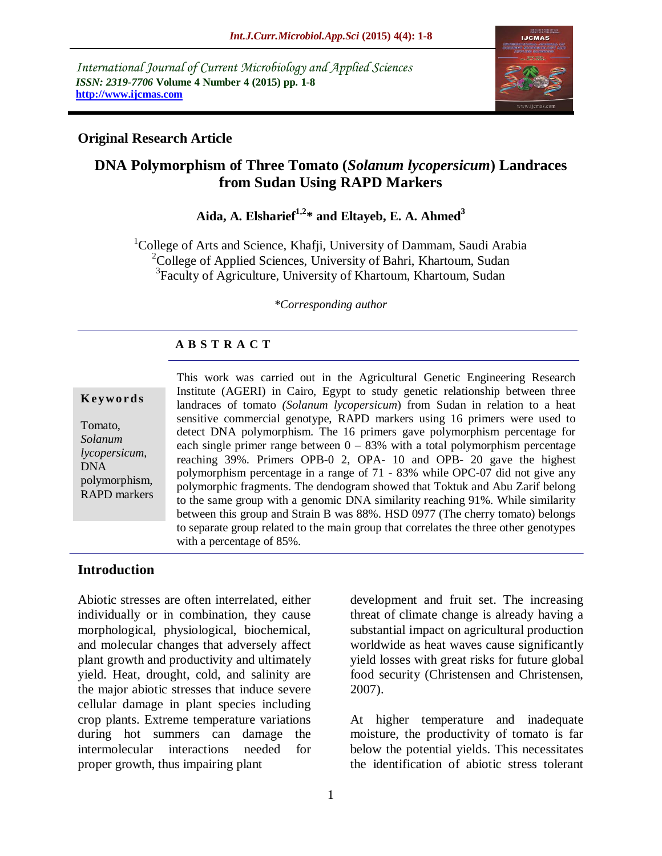*International Journal of Current Microbiology and Applied Sciences ISSN: 2319-7706* **Volume 4 Number 4 (2015) pp. 1-8 http://www.ijcmas.com** 



### **Original Research Article**

## **DNA Polymorphism of Three Tomato (***Solanum lycopersicum***) Landraces from Sudan Using RAPD Markers**

# **Aida, A. Elsharief1,2\* and Eltayeb, E. A. Ahmed<sup>3</sup>**

<sup>1</sup>College of Arts and Science, Khafji, University of Dammam, Saudi Arabia <sup>2</sup>College of Applied Sciences, University of Bahri, Khartoum, Sudan <sup>3</sup>Faculty of Agriculture, University of Khartoum, Khartoum, Sudan

*\*Corresponding author*

#### **A B S T R A C T**

#### This work was carried out in the Agricultural Genetic Engineering Research Institute (AGERI) in Cairo, Egypt to study genetic relationship between three landraces of tomato *(Solanum lycopersicum*) from Sudan in relation to a heat sensitive commercial genotype, RAPD markers using 16 primers were used to detect DNA polymorphism. The 16 primers gave polymorphism percentage for each single primer range between  $0 - 83%$  with a total polymorphism percentage reaching 39%. Primers OPB-0 2, OPA- 10 and OPB- 20 gave the highest polymorphism percentage in a range of 71 - 83% while OPC-07 did not give any polymorphic fragments. The dendogram showed that Toktuk and Abu Zarif belong to the same group with a genomic DNA similarity reaching 91%. While similarity between this group and Strain B was 88%. HSD 0977 (The cherry tomato) belongs to separate group related to the main group that correlates the three other genotypes with a percentage of 85%. **K ey w o rd s** Tomato, *Solanum lycopersicum*, DNA polymorphism, RAPD markers

#### **Introduction**

Abiotic stresses are often interrelated, either individually or in combination, they cause morphological, physiological, biochemical, and molecular changes that adversely affect plant growth and productivity and ultimately yield. Heat, drought, cold, and salinity are the major abiotic stresses that induce severe cellular damage in plant species including crop plants. Extreme temperature variations during hot summers can damage the intermolecular interactions needed for proper growth, thus impairing plant

1

development and fruit set. The increasing threat of climate change is already having a substantial impact on agricultural production worldwide as heat waves cause significantly yield losses with great risks for future global food security [\(Christensen and Christensen,](http://www.ncbi.nlm.nih.gov/pmc/articles/PMC3728475/#B31)  [2007\)](http://www.ncbi.nlm.nih.gov/pmc/articles/PMC3728475/#B31).

At higher temperature and inadequate moisture, the productivity of tomato is far below the potential yields. This necessitates the identification of abiotic stress tolerant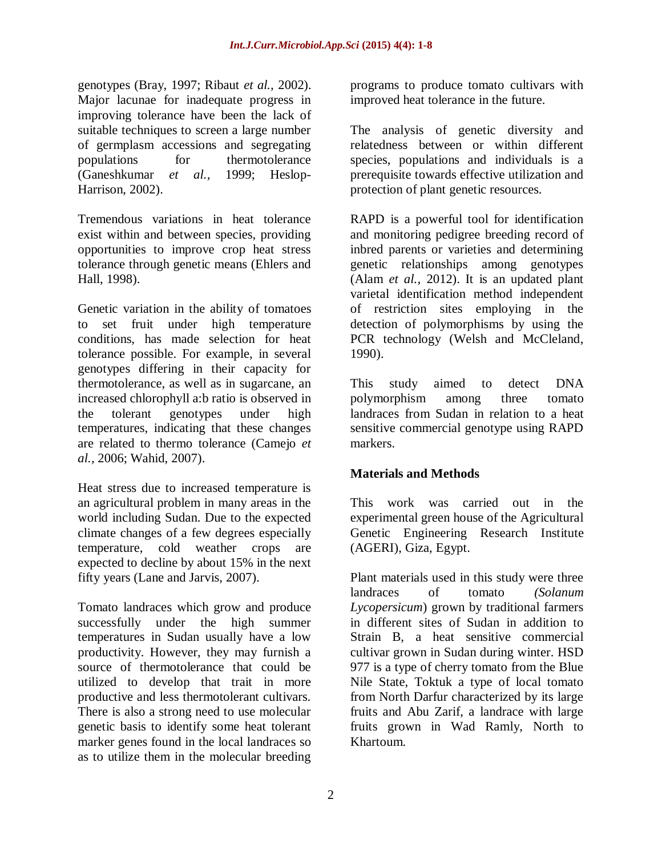genotypes (Bray, 1997; Ribaut *et al.,* 2002). Major lacunae for inadequate progress in improving tolerance have been the lack of suitable techniques to screen a large number of germplasm accessions and segregating populations for thermotolerance (Ganeshkumar *et al.,* 1999; Heslop-Harrison, 2002).

Tremendous variations in heat tolerance exist within and between species, providing opportunities to improve crop heat stress tolerance through genetic means (Ehlers and Hall, 1998).

Genetic variation in the ability of tomatoes to set fruit under high temperature conditions, has made selection for heat tolerance possible. For example, in several genotypes differing in their capacity for thermotolerance, as well as in sugarcane, an increased chlorophyll a:b ratio is observed in the tolerant genotypes under high temperatures, indicating that these changes are related to thermo tolerance [\(Camejo](http://www.ncbi.nlm.nih.gov/pmc/articles/PMC3728475/#B25) *et al.,* [2006;](http://www.ncbi.nlm.nih.gov/pmc/articles/PMC3728475/#B25) [Wahid, 2007\)](http://www.ncbi.nlm.nih.gov/pmc/articles/PMC3728475/#B191).

Heat stress due to increased temperature is an agricultural problem in many areas in the world including Sudan. Due to the expected climate changes of a few degrees especially temperature, cold weather crops are expected to decline by about 15% in the next fifty years (Lane and Jarvis, 2007).

Tomato landraces which grow and produce successfully under the high summer temperatures in Sudan usually have a low productivity. However, they may furnish a source of thermotolerance that could be utilized to develop that trait in more productive and less thermotolerant cultivars. There is also a strong need to use molecular genetic basis to identify some heat tolerant marker genes found in the local landraces so as to utilize them in the molecular breeding

programs to produce tomato cultivars with improved heat tolerance in the future.

The analysis of genetic diversity and relatedness between or within different species, populations and individuals is a prerequisite towards effective utilization and protection of plant genetic resources.

RAPD is a powerful tool for identification and monitoring pedigree breeding record of inbred parents or varieties and determining genetic relationships among genotypes (Alam *et al.,* 2012). It is an updated plant varietal identification method independent of restriction sites employing in the detection of polymorphisms by using the PCR technology (Welsh and McCleland, 1990).

This study aimed to detect DNA polymorphism among three tomato landraces from Sudan in relation to a heat sensitive commercial genotype using RAPD markers.

#### **Materials and Methods**

This work was carried out in the experimental green house of the Agricultural Genetic Engineering Research Institute (AGERI), Giza, Egypt.

Plant materials used in this study were three landraces of tomato *(Solanum Lycopersicum*) grown by traditional farmers in different sites of Sudan in addition to Strain B, a heat sensitive commercial cultivar grown in Sudan during winter. HSD 977 is a type of cherry tomato from the Blue Nile State, Toktuk a type of local tomato from North Darfur characterized by its large fruits and Abu Zarif, a landrace with large fruits grown in Wad Ramly, North to Khartoum.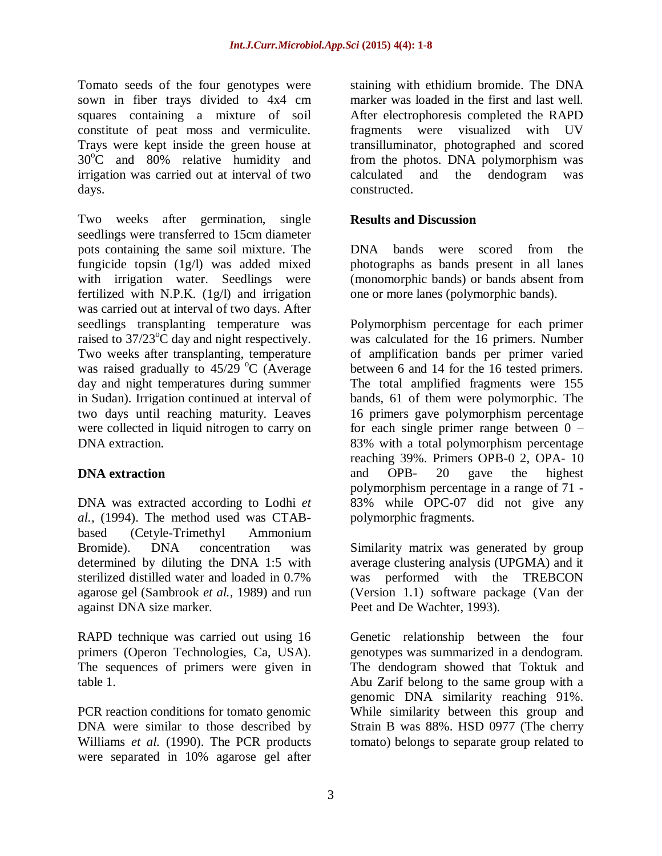Tomato seeds of the four genotypes were sown in fiber trays divided to 4x4 cm squares containing a mixture of soil constitute of peat moss and vermiculite. Trays were kept inside the green house at  $30^{\circ}$ C and  $80\%$  relative humidity and irrigation was carried out at interval of two days.

Two weeks after germination, single seedlings were transferred to 15cm diameter pots containing the same soil mixture. The fungicide topsin (1g/l) was added mixed with irrigation water. Seedlings were fertilized with N.P.K. (1g/l) and irrigation was carried out at interval of two days. After seedlings transplanting temperature was raised to  $37/23^{\circ}$ C day and night respectively. Two weeks after transplanting, temperature was raised gradually to  $45/29$  °C (Average day and night temperatures during summer in Sudan). Irrigation continued at interval of two days until reaching maturity. Leaves were collected in liquid nitrogen to carry on DNA extraction.

#### **DNA extraction**

DNA was extracted according to Lodhi *et al.,* (1994). The method used was CTABbased (Cetyle-Trimethyl Ammonium Bromide). DNA concentration was determined by diluting the DNA 1:5 with sterilized distilled water and loaded in 0.7% agarose gel (Sambrook *et al.,* 1989) and run against DNA size marker.

RAPD technique was carried out using 16 primers (Operon Technologies, Ca, USA). The sequences of primers were given in table 1.

PCR reaction conditions for tomato genomic DNA were similar to those described by Williams *et al.* (1990). The PCR products were separated in 10% agarose gel after

staining with ethidium bromide. The DNA marker was loaded in the first and last well. After electrophoresis completed the RAPD fragments were visualized with UV transilluminator, photographed and scored from the photos. DNA polymorphism was calculated and the dendogram was constructed.

#### **Results and Discussion**

DNA bands were scored from the photographs as bands present in all lanes (monomorphic bands) or bands absent from one or more lanes (polymorphic bands).

Polymorphism percentage for each primer was calculated for the 16 primers. Number of amplification bands per primer varied between 6 and 14 for the 16 tested primers. The total amplified fragments were 155 bands, 61 of them were polymorphic. The 16 primers gave polymorphism percentage for each single primer range between  $0 -$ 83% with a total polymorphism percentage reaching 39%. Primers OPB-0 2, OPA- 10 and OPB- 20 gave the highest polymorphism percentage in a range of 71 - 83% while OPC-07 did not give any polymorphic fragments.

Similarity matrix was generated by group average clustering analysis (UPGMA) and it was performed with the TREBCON (Version 1.1) software package (Van der Peet and De Wachter, 1993).

Genetic relationship between the four genotypes was summarized in a dendogram. The dendogram showed that Toktuk and Abu Zarif belong to the same group with a genomic DNA similarity reaching 91%. While similarity between this group and Strain B was 88%. HSD 0977 (The cherry tomato) belongs to separate group related to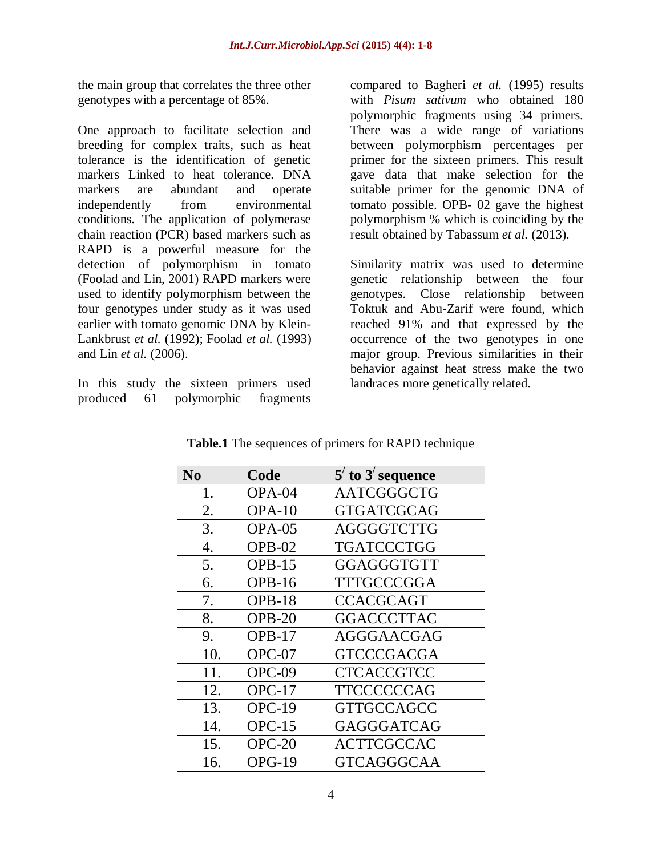the main group that correlates the three other genotypes with a percentage of 85%.

One approach to facilitate selection and breeding for complex traits, such as heat tolerance is the identification of genetic markers Linked to heat tolerance. DNA markers are abundant and operate independently from environmental conditions. The application of polymerase chain reaction (PCR) based markers such as RAPD is a powerful measure for the detection of polymorphism in tomato (Foolad and Lin, 2001) RAPD markers were used to identify polymorphism between the four genotypes under study as it was used earlier with tomato genomic DNA by Klein-Lankbrust *et al.* (1992); Foolad *et al.* (1993) and Lin *et al.* (2006).

In this study the sixteen primers used produced 61 polymorphic fragments

compared to Bagheri *et al.* (1995) results with *Pisum sativum* who obtained 180 polymorphic fragments using 34 primers. There was a wide range of variations between polymorphism percentages per primer for the sixteen primers. This result gave data that make selection for the suitable primer for the genomic DNA of tomato possible. OPB- 02 gave the highest polymorphism % which is coinciding by the result obtained by Tabassum *et al.* (2013).

Similarity matrix was used to determine genetic relationship between the four genotypes. Close relationship between Toktuk and Abu-Zarif were found, which reached 91% and that expressed by the occurrence of the two genotypes in one major group. Previous similarities in their behavior against heat stress make the two landraces more genetically related.

| N <sub>0</sub>   | Code          | $5'$ to $3'$ sequence |  |
|------------------|---------------|-----------------------|--|
| 1.               | OPA-04        | <b>AATCGGGCTG</b>     |  |
| 2.               | $OPA-10$      | <b>GTGATCGCAG</b>     |  |
| 3.               | $OPA-05$      | AGGGGTCTTG            |  |
| $\overline{4}$ . | $OPB-02$      | <b>TGATCCCTGG</b>     |  |
| 5.               | $OPB-15$      | <b>GGAGGGTGTT</b>     |  |
| 6.               | <b>OPB-16</b> | <b>TTTGCCCGGA</b>     |  |
| 7.               | OPB-18        | <b>CCACGCAGT</b>      |  |
| 8.               | $OPB-20$      | <b>GGACCCTTAC</b>     |  |
| 9.               | OPB-17        | <b>AGGGAACGAG</b>     |  |
| 10.              | $OPC-07$      | <b>GTCCCGACGA</b>     |  |
| 11.              | $OPC-09$      | <b>CTCACCGTCC</b>     |  |
| 12.              | $OPC-17$      | TTCCCCCCAG            |  |
| 13.              | $OPC-19$      | <b>GTTGCCAGCC</b>     |  |
| 14.              | $OPC-15$      | GAGGGATCAG            |  |
| 15.              | $OPC-20$      | <b>ACTTCGCCAC</b>     |  |
| 16.              | $OPG-19$      | <b>GTCAGGGCAA</b>     |  |

**Table.1** The sequences of primers for RAPD technique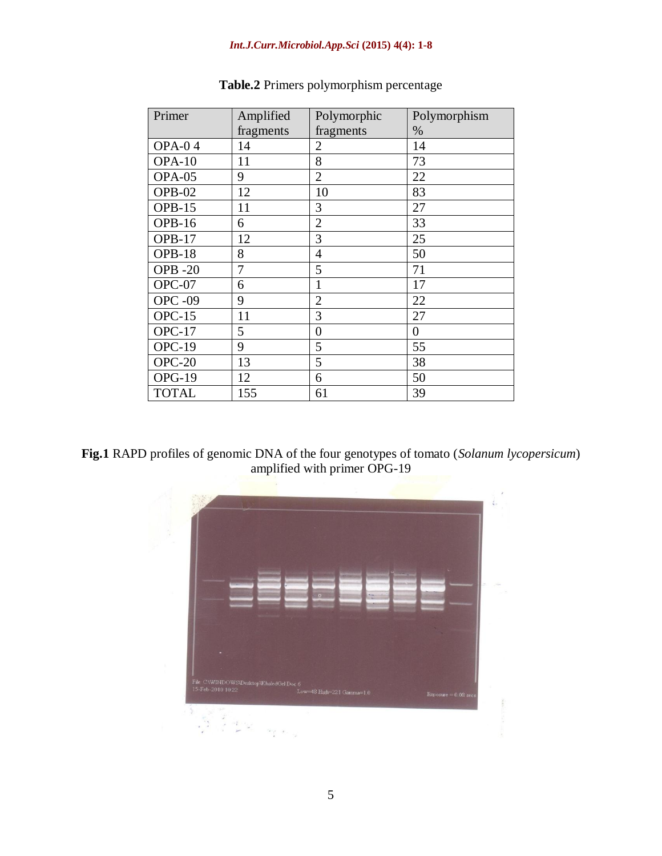| Primer         | Amplified | Polymorphic    | Polymorphism |
|----------------|-----------|----------------|--------------|
|                | fragments | fragments      | $\%$         |
| <b>OPA-04</b>  | 14        | $\overline{2}$ | 14           |
| $OPA-10$       | 11        | 8              | 73           |
| OPA-05         | 9         | $\overline{2}$ | 22           |
| OPB-02         | 12        | 10             | 83           |
| $OPB-15$       | 11        | 3              | 27           |
| <b>OPB-16</b>  | 6         | $\overline{2}$ | 33           |
| OPB-17         | 12        | 3              | 25           |
| OPB-18         | 8         | 4              | 50           |
| <b>OPB-20</b>  | 7         | 5              | 71           |
| OPC-07         | 6         | 1              | 17           |
| <b>OPC -09</b> | 9         | $\overline{2}$ | 22           |
| $OPC-15$       | 11        | 3              | 27           |
| $OPC-17$       | 5         | $\theta$       | $\theta$     |
| OPC-19         | 9         | 5              | 55           |
| $OPC-20$       | 13        | 5              | 38           |
| <b>OPG-19</b>  | 12        | 6              | 50           |
| <b>TOTAL</b>   | 155       | 61             | 39           |

### **Table.2** Primers polymorphism percentage

**Fig.1** RAPD profiles of genomic DNA of the four genotypes of tomato (*Solanum lycopersicum*) amplified with primer OPG-19

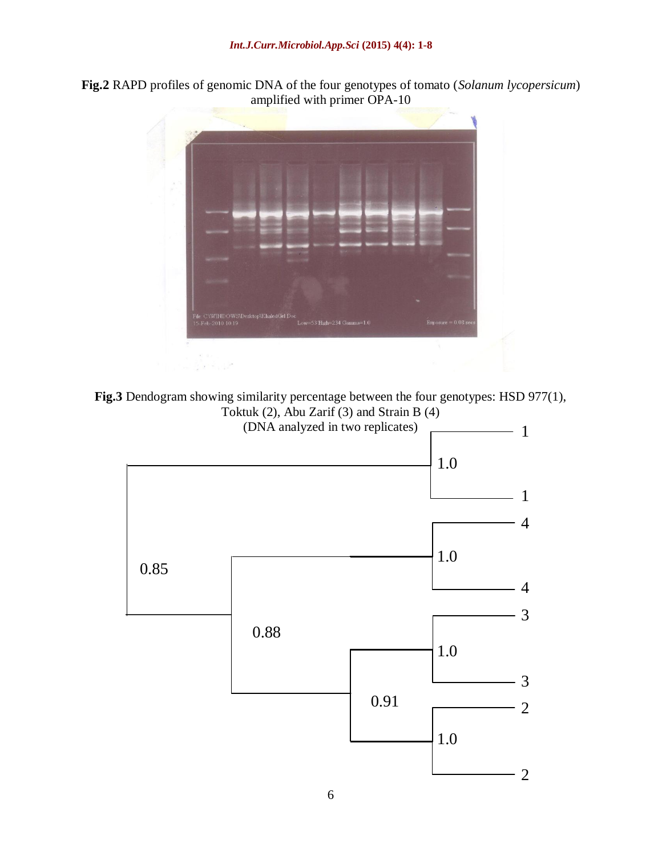**Fig.2** RAPD profiles of genomic DNA of the four genotypes of tomato (*Solanum lycopersicum*) amplified with primer OPA-10





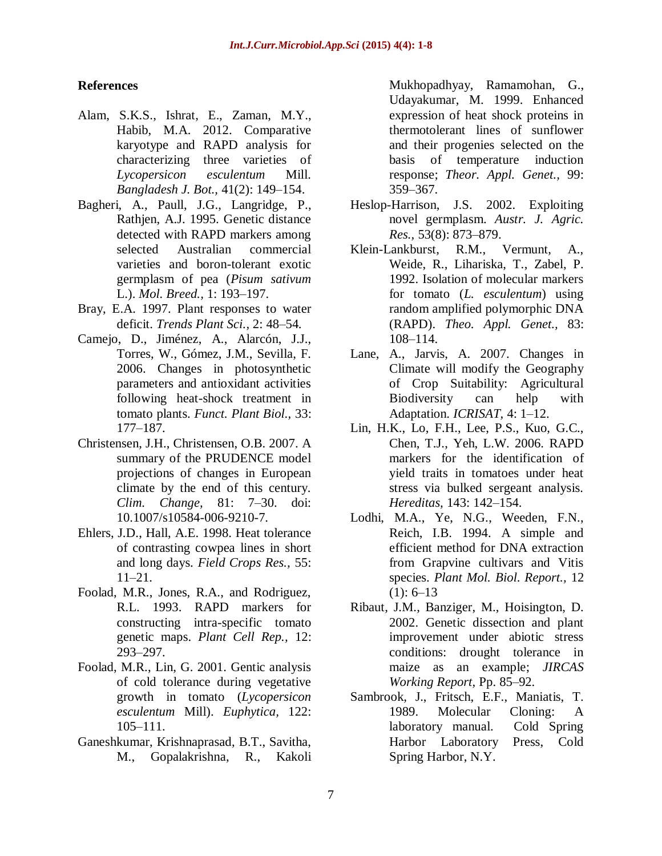#### **References**

- Alam, S.K.S., Ishrat, E., Zaman, M.Y., Habib, M.A. 2012. Comparative karyotype and RAPD analysis for characterizing three varieties of *Lycopersicon esculentum* Mill. *Bangladesh J. Bot.,* 41(2): 149–154.
- Bagheri, A., Paull, J.G., Langridge, P., Rathjen, A.J. 1995. Genetic distance detected with RAPD markers among selected Australian commercial varieties and boron-tolerant exotic germplasm of pea (*Pisum sativum* L.). *Mol. Breed.,* 1: 193–197.
- Bray, E.A. 1997. Plant responses to water deficit. *Trends Plant Sci.,* 2: 48–54.
- Camejo, D., Jiménez, A., Alarcón, J.J., Torres, W., Gómez, J.M., Sevilla, F. 2006. Changes in photosynthetic parameters and antioxidant activities following heat-shock treatment in tomato plants. *Funct. Plant Biol.,* 33: 177–187.
- Christensen, J.H., Christensen, O.B. 2007. A summary of the PRUDENCE model projections of changes in European climate by the end of this century. *Clim. Change,* 81: 7–30. doi: 10.1007/s10584-006-9210-7.
- Ehlers, J.D., Hall, A.E. 1998. Heat tolerance of contrasting cowpea lines in short and long days. *Field Crops Res.,* 55: 11–21.
- Foolad, M.R., Jones, R.A., and Rodriguez, R.L. 1993. RAPD markers for constructing intra-specific tomato genetic maps. *Plant Cell Rep.,* 12: 293–297.
- Foolad, M.R., Lin, G. 2001. Gentic analysis of cold tolerance during vegetative growth in tomato (*Lycopersicon esculentum* Mill). *Euphytica,* 122: 105–111.
- Ganeshkumar, Krishnaprasad, B.T., Savitha, M., Gopalakrishna, R., Kakoli

Mukhopadhyay, Ramamohan, G., Udayakumar, M. 1999. Enhanced expression of heat shock proteins in thermotolerant lines of sunflower and their progenies selected on the basis of temperature induction response; *Theor. Appl. Genet.,* 99: 359–367.

- Heslop-Harrison, J.S. 2002. Exploiting novel germplasm. *Austr. J. Agric. Res.,* 53(8): 873–879.
- Klein-Lankburst, R.M., Vermunt, A., Weide, R., Lihariska, T., Zabel, P. 1992. Isolation of molecular markers for tomato (*L. esculentum*) using random amplified polymorphic DNA (RAPD). *Theo. Appl. Genet.,* 83: 108–114.
- Lane, A., Jarvis, A. 2007. Changes in Climate will modify the Geography of Crop Suitability: Agricultural Biodiversity can help with Adaptation. *ICRISAT,* 4: 1–12.
- Lin, H.K., Lo, F.H., Lee, P.S., Kuo, G.C., Chen, T.J., Yeh, L.W. 2006. RAPD markers for the identification of yield traits in tomatoes under heat stress via bulked sergeant analysis. *Hereditas,* 143: 142–154.
- Lodhi, M.A., Ye, N.G., Weeden, F.N., Reich, I.B. 1994. A simple and efficient method for DNA extraction from Grapvine cultivars and Vitis species. *Plant Mol. Biol. Report.,* 12  $(1): 6-13$
- Ribaut, J.M., Banziger, M., Hoisington, D. 2002. Genetic dissection and plant improvement under abiotic stress conditions: drought tolerance in maize as an example; *JIRCAS Working Report,* Pp. 85–92.
- Sambrook, J., Fritsch, E.F., Maniatis, T. 1989. Molecular Cloning: A laboratory manual. Cold Spring Harbor Laboratory Press, Cold Spring Harbor, N.Y.